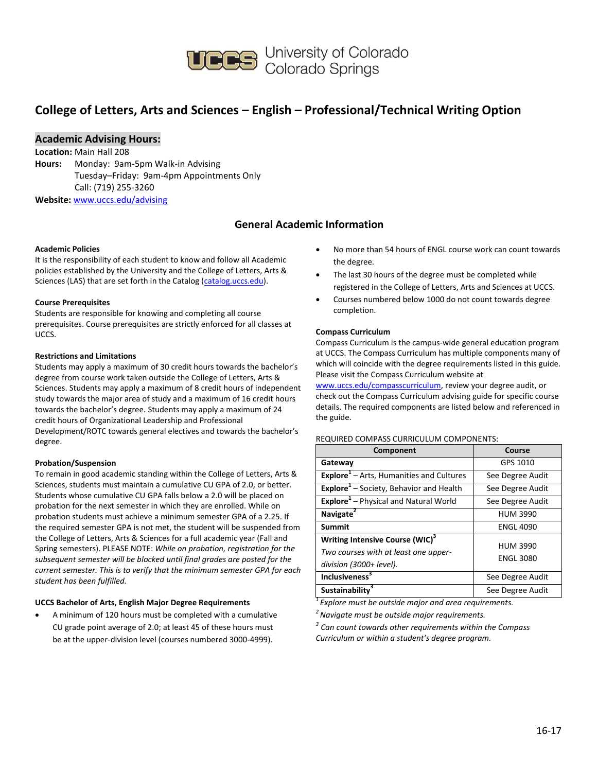

## **College of Letters, Arts and Sciences – English – Professional/Technical Writing Option**

### **Academic Advising Hours:**

**Location:** Main Hall 208 **Hours:** Monday: 9am-5pm Walk-in Advising Tuesday–Friday: 9am-4pm Appointments Only Call: (719) 255-3260 **Website:** [www.uccs.edu/advising](http://www.uccs.edu/advising)

### **General Academic Information**

#### **Academic Policies**

It is the responsibility of each student to know and follow all Academic policies established by the University and the College of Letters, Arts & Sciences (LAS) that are set forth in the Catalog [\(catalog.uccs.edu\)](http://catalog.uccs.edu/).

#### **Course Prerequisites**

Students are responsible for knowing and completing all course prerequisites. Course prerequisites are strictly enforced for all classes at UCCS.

#### **Restrictions and Limitations**

Students may apply a maximum of 30 credit hours towards the bachelor's degree from course work taken outside the College of Letters, Arts & Sciences. Students may apply a maximum of 8 credit hours of independent study towards the major area of study and a maximum of 16 credit hours towards the bachelor's degree. Students may apply a maximum of 24 credit hours of Organizational Leadership and Professional Development/ROTC towards general electives and towards the bachelor's degree.

#### **Probation/Suspension**

To remain in good academic standing within the College of Letters, Arts & Sciences, students must maintain a cumulative CU GPA of 2.0, or better. Students whose cumulative CU GPA falls below a 2.0 will be placed on probation for the next semester in which they are enrolled. While on probation students must achieve a minimum semester GPA of a 2.25. If the required semester GPA is not met, the student will be suspended from the College of Letters, Arts & Sciences for a full academic year (Fall and Spring semesters). PLEASE NOTE: *While on probation, registration for the subsequent semester will be blocked until final grades are posted for the current semester. This is to verify that the minimum semester GPA for each student has been fulfilled.*

#### **UCCS Bachelor of Arts, English Major Degree Requirements**

 A minimum of 120 hours must be completed with a cumulative CU grade point average of 2.0; at least 45 of these hours must be at the upper-division level (courses numbered 3000-4999).

- No more than 54 hours of ENGL course work can count towards the degree.
- The last 30 hours of the degree must be completed while registered in the College of Letters, Arts and Sciences at UCCS.
- Courses numbered below 1000 do not count towards degree completion.

#### **Compass Curriculum**

Compass Curriculum is the campus-wide general education program at UCCS. The Compass Curriculum has multiple components many of which will coincide with the degree requirements listed in this guide. Please visit the Compass Curriculum website at

[www.uccs.edu/compasscurriculum,](http://www.uccs.edu/compasscurriculum) review your degree audit, or check out the Compass Curriculum advising guide for specific course details. The required components are listed below and referenced in the guide.

#### REQUIRED COMPASS CURRICULUM COMPONENTS:

| Component                                                                                                      | Course                              |  |  |
|----------------------------------------------------------------------------------------------------------------|-------------------------------------|--|--|
| Gateway                                                                                                        | GPS 1010                            |  |  |
| <b>Explore</b> <sup>1</sup> – Arts, Humanities and Cultures                                                    | See Degree Audit                    |  |  |
| Explore <sup>1</sup> - Society, Behavior and Health                                                            | See Degree Audit                    |  |  |
| Explore <sup>1</sup> - Physical and Natural World                                                              | See Degree Audit                    |  |  |
| Navigate <sup>2</sup>                                                                                          | <b>HUM 3990</b>                     |  |  |
| Summit                                                                                                         | <b>ENGL 4090</b>                    |  |  |
| Writing Intensive Course (WIC) <sup>3</sup><br>Two courses with at least one upper-<br>division (3000+ level). | <b>HUM 3990</b><br><b>ENGL 3080</b> |  |  |
| <b>Inclusiveness</b> <sup>3</sup>                                                                              | See Degree Audit                    |  |  |
| Sustainability <sup>3</sup>                                                                                    | See Degree Audit                    |  |  |

*<sup>1</sup>Explore must be outside major and area requirements.*

*<sup>2</sup>Navigate must be outside major requirements.*

*3 Can count towards other requirements within the Compass Curriculum or within a student's degree program.*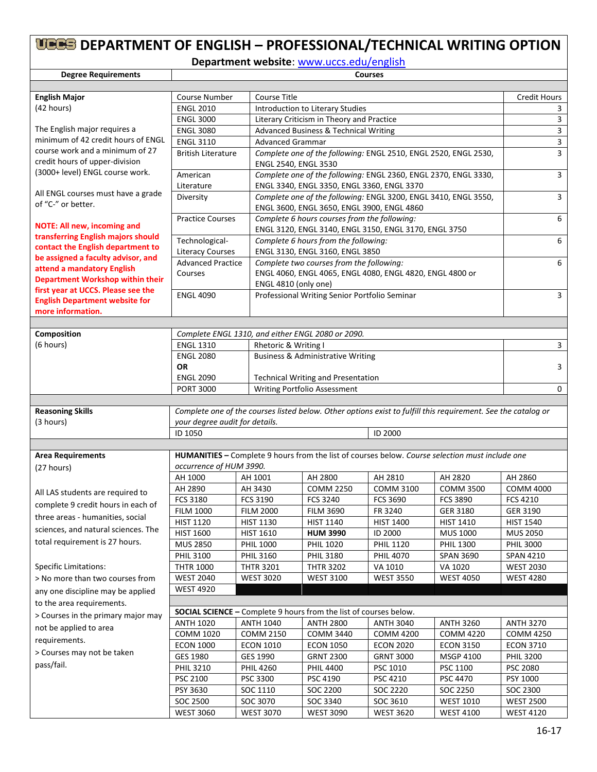# **DEPARTMENT OF ENGLISH – PROFESSIONAL/TECHNICAL WRITING OPTION**

**Department website**: [www.uccs.edu/english](http://www.uccs.edu/english)

| <b>Degree Requirements</b>                                                  | <b>Courses</b>                 |                                      |                                                                                                                                                                                                                        |                  |                                                                                                               |                                     |
|-----------------------------------------------------------------------------|--------------------------------|--------------------------------------|------------------------------------------------------------------------------------------------------------------------------------------------------------------------------------------------------------------------|------------------|---------------------------------------------------------------------------------------------------------------|-------------------------------------|
|                                                                             |                                |                                      |                                                                                                                                                                                                                        |                  |                                                                                                               |                                     |
| <b>English Major</b>                                                        | Course Number                  |                                      | <b>Course Title</b>                                                                                                                                                                                                    |                  |                                                                                                               |                                     |
| (42 hours)                                                                  | <b>ENGL 2010</b>               |                                      | Introduction to Literary Studies                                                                                                                                                                                       |                  |                                                                                                               |                                     |
|                                                                             | <b>ENGL 3000</b>               |                                      | Literary Criticism in Theory and Practice                                                                                                                                                                              |                  |                                                                                                               |                                     |
| The English major requires a                                                | <b>ENGL 3080</b>               |                                      | Advanced Business & Technical Writing                                                                                                                                                                                  |                  |                                                                                                               |                                     |
| minimum of 42 credit hours of ENGL                                          | <b>ENGL 3110</b>               |                                      | <b>Advanced Grammar</b>                                                                                                                                                                                                |                  |                                                                                                               |                                     |
| course work and a minimum of 27<br>credit hours of upper-division           | <b>British Literature</b>      |                                      | Complete one of the following: ENGL 2510, ENGL 2520, ENGL 2530,<br>ENGL 2540, ENGL 3530                                                                                                                                |                  |                                                                                                               |                                     |
| (3000+ level) ENGL course work.                                             | American                       |                                      | Complete one of the following: ENGL 2360, ENGL 2370, ENGL 3330,                                                                                                                                                        |                  |                                                                                                               |                                     |
| All ENGL courses must have a grade                                          | Literature                     |                                      | ENGL 3340, ENGL 3350, ENGL 3360, ENGL 3370                                                                                                                                                                             |                  |                                                                                                               |                                     |
| of "C-" or better.                                                          | Diversity                      |                                      | Complete one of the following: ENGL 3200, ENGL 3410, ENGL 3550,<br>ENGL 3600, ENGL 3650, ENGL 3900, ENGL 4860<br>Complete 6 hours courses from the following:<br>ENGL 3120, ENGL 3140, ENGL 3150, ENGL 3170, ENGL 3750 |                  |                                                                                                               |                                     |
| <b>NOTE: All new, incoming and</b>                                          | <b>Practice Courses</b>        |                                      |                                                                                                                                                                                                                        |                  |                                                                                                               |                                     |
| transferring English majors should<br>contact the English department to     | Technological-                 | Complete 6 hours from the following: |                                                                                                                                                                                                                        |                  |                                                                                                               | 6                                   |
| be assigned a faculty advisor, and                                          | <b>Literacy Courses</b>        |                                      | ENGL 3130, ENGL 3160, ENGL 3850                                                                                                                                                                                        |                  |                                                                                                               |                                     |
| attend a mandatory English                                                  | <b>Advanced Practice</b>       |                                      | Complete two courses from the following:                                                                                                                                                                               |                  |                                                                                                               | 6                                   |
| <b>Department Workshop within their</b>                                     | Courses                        |                                      | ENGL 4060, ENGL 4065, ENGL 4080, ENGL 4820, ENGL 4800 or<br>ENGL 4810 (only one)                                                                                                                                       |                  |                                                                                                               |                                     |
| first year at UCCS. Please see the<br><b>English Department website for</b> | <b>ENGL 4090</b>               |                                      | Professional Writing Senior Portfolio Seminar                                                                                                                                                                          |                  |                                                                                                               | 3                                   |
| more information.                                                           |                                |                                      |                                                                                                                                                                                                                        |                  |                                                                                                               |                                     |
|                                                                             |                                |                                      |                                                                                                                                                                                                                        |                  |                                                                                                               |                                     |
| Composition                                                                 |                                |                                      | Complete ENGL 1310, and either ENGL 2080 or 2090.                                                                                                                                                                      |                  |                                                                                                               |                                     |
| (6 hours)                                                                   | <b>ENGL 1310</b>               | Rhetoric & Writing I                 |                                                                                                                                                                                                                        |                  |                                                                                                               | 3                                   |
|                                                                             | <b>ENGL 2080</b>               |                                      | <b>Business &amp; Administrative Writing</b>                                                                                                                                                                           |                  |                                                                                                               |                                     |
|                                                                             | <b>OR</b>                      |                                      |                                                                                                                                                                                                                        |                  |                                                                                                               | 3                                   |
|                                                                             | <b>ENGL 2090</b>               |                                      | <b>Technical Writing and Presentation</b>                                                                                                                                                                              |                  |                                                                                                               |                                     |
|                                                                             | <b>PORT 3000</b>               |                                      | Writing Portfolio Assessment                                                                                                                                                                                           |                  |                                                                                                               | 0                                   |
|                                                                             |                                |                                      |                                                                                                                                                                                                                        |                  |                                                                                                               |                                     |
| <b>Reasoning Skills</b>                                                     |                                |                                      |                                                                                                                                                                                                                        |                  | Complete one of the courses listed below. Other options exist to fulfill this requirement. See the catalog or |                                     |
| (3 hours)                                                                   | your degree audit for details. |                                      |                                                                                                                                                                                                                        |                  |                                                                                                               |                                     |
|                                                                             | ID 1050                        |                                      |                                                                                                                                                                                                                        | <b>ID 2000</b>   |                                                                                                               |                                     |
|                                                                             |                                |                                      |                                                                                                                                                                                                                        |                  |                                                                                                               |                                     |
| <b>Area Requirements</b>                                                    | occurrence of HUM 3990.        |                                      |                                                                                                                                                                                                                        |                  | HUMANITIES - Complete 9 hours from the list of courses below. Course selection must include one               |                                     |
| (27 hours)                                                                  | AH 1000                        | AH 1001                              | AH 2800                                                                                                                                                                                                                | AH 2810          | AH 2820                                                                                                       | AH 2860                             |
|                                                                             | AH 2890                        | AH 3430                              | <b>COMM 2250</b>                                                                                                                                                                                                       | <b>COMM 3100</b> | <b>COMM 3500</b>                                                                                              | <b>COMM 4000</b>                    |
| All LAS students are required to                                            | FCS 3180                       | <b>FCS 3190</b>                      | FCS 3240                                                                                                                                                                                                               | FCS 3690         | <b>FCS 3890</b>                                                                                               | <b>FCS 4210</b>                     |
| complete 9 credit hours in each of                                          | <b>FILM 1000</b>               | <b>FILM 2000</b>                     | <b>FILM 3690</b>                                                                                                                                                                                                       | FR 3240          | <b>GER 3180</b>                                                                                               | GER 3190                            |
| three areas - humanities, social                                            | <b>HIST 1120</b>               | <b>HIST 1130</b>                     | HIST 1140                                                                                                                                                                                                              | HIST 1400        | <b>HIST 1410</b>                                                                                              | <b>HIST 1540</b>                    |
| sciences, and natural sciences. The                                         | <b>HIST 1600</b>               |                                      | <b>HUM 3990</b>                                                                                                                                                                                                        | ID 2000          | <b>MUS 1000</b>                                                                                               |                                     |
| total requirement is 27 hours.                                              | <b>MUS 2850</b>                | <b>HIST 1610</b><br><b>PHIL 1000</b> | <b>PHIL 1020</b>                                                                                                                                                                                                       | <b>PHIL 1120</b> | PHIL 1300                                                                                                     | <b>MUS 2050</b><br><b>PHIL 3000</b> |
|                                                                             | <b>PHIL 3100</b>               | <b>PHIL 3160</b>                     |                                                                                                                                                                                                                        | <b>PHIL 4070</b> |                                                                                                               | <b>SPAN 4210</b>                    |
| <b>Specific Limitations:</b>                                                | <b>THTR 1000</b>               | <b>THTR 3201</b>                     | <b>PHIL 3180</b><br><b>THTR 3202</b>                                                                                                                                                                                   | VA 1010          | <b>SPAN 3690</b><br>VA 1020                                                                                   | <b>WEST 2030</b>                    |
| > No more than two courses from                                             | <b>WEST 2040</b>               | <b>WEST 3020</b>                     | <b>WEST 3100</b>                                                                                                                                                                                                       | <b>WEST 3550</b> | <b>WEST 4050</b>                                                                                              | <b>WEST 4280</b>                    |
|                                                                             | <b>WEST 4920</b>               |                                      |                                                                                                                                                                                                                        |                  |                                                                                                               |                                     |
| any one discipline may be applied                                           |                                |                                      |                                                                                                                                                                                                                        |                  |                                                                                                               |                                     |
| to the area requirements.                                                   |                                |                                      | <b>SOCIAL SCIENCE - Complete 9 hours from the list of courses below.</b>                                                                                                                                               |                  |                                                                                                               |                                     |
| > Courses in the primary major may                                          | <b>ANTH 1020</b>               | <b>ANTH 1040</b>                     | <b>ANTH 2800</b>                                                                                                                                                                                                       | <b>ANTH 3040</b> | <b>ANTH 3260</b>                                                                                              | <b>ANTH 3270</b>                    |
| not be applied to area                                                      | COMM 1020                      | <b>COMM 2150</b>                     | <b>COMM 3440</b>                                                                                                                                                                                                       | <b>COMM 4200</b> | <b>COMM 4220</b>                                                                                              | <b>COMM 4250</b>                    |
| requirements.                                                               | <b>ECON 1000</b>               | <b>ECON 1010</b>                     | <b>ECON 1050</b>                                                                                                                                                                                                       | <b>ECON 2020</b> | <b>ECON 3150</b>                                                                                              | <b>ECON 3710</b>                    |
| > Courses may not be taken                                                  | GES 1980                       | GES 1990                             | <b>GRNT 2300</b>                                                                                                                                                                                                       | <b>GRNT 3000</b> | <b>MSGP 4100</b>                                                                                              | <b>PHIL 3200</b>                    |
| pass/fail.                                                                  | <b>PHIL 3210</b>               | <b>PHIL 4260</b>                     | <b>PHIL 4400</b>                                                                                                                                                                                                       | PSC 1010         | PSC 1100                                                                                                      | PSC 2080                            |
|                                                                             | PSC 2100                       | PSC 3300                             | PSC 4190                                                                                                                                                                                                               | PSC 4210         | PSC 4470                                                                                                      | PSY 1000                            |
|                                                                             | PSY 3630                       | SOC 1110                             | SOC 2200                                                                                                                                                                                                               | SOC 2220         | SOC 2250                                                                                                      | SOC 2300                            |
|                                                                             | SOC 2500                       | SOC 3070                             | SOC 3340                                                                                                                                                                                                               | SOC 3610         | <b>WEST 1010</b>                                                                                              | <b>WEST 2500</b>                    |
|                                                                             | <b>WEST 3060</b>               | <b>WEST 3070</b>                     | <b>WEST 3090</b>                                                                                                                                                                                                       | <b>WEST 3620</b> | <b>WEST 4100</b>                                                                                              | <b>WEST 4120</b>                    |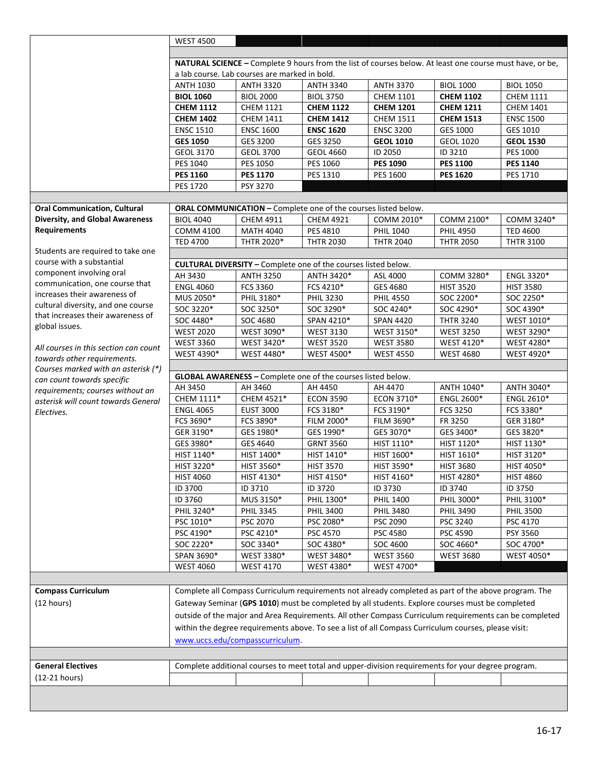|                                        | <b>WEST 4500</b>                                                                                                                                                                                          |                              |                                                                       |                                                                                                      |                   |                              |  |  |
|----------------------------------------|-----------------------------------------------------------------------------------------------------------------------------------------------------------------------------------------------------------|------------------------------|-----------------------------------------------------------------------|------------------------------------------------------------------------------------------------------|-------------------|------------------------------|--|--|
|                                        |                                                                                                                                                                                                           |                              |                                                                       |                                                                                                      |                   |                              |  |  |
|                                        | NATURAL SCIENCE - Complete 9 hours from the list of courses below. At least one course must have, or be,                                                                                                  |                              |                                                                       |                                                                                                      |                   |                              |  |  |
|                                        | a lab course. Lab courses are marked in bold.                                                                                                                                                             |                              |                                                                       |                                                                                                      |                   |                              |  |  |
|                                        | <b>ANTH 3370</b><br><b>ANTH 1030</b><br><b>ANTH 3320</b><br><b>ANTH 3340</b><br><b>BIOL 1000</b><br><b>BIOL 1050</b>                                                                                      |                              |                                                                       |                                                                                                      |                   |                              |  |  |
|                                        | <b>BIOL 1060</b>                                                                                                                                                                                          | <b>BIOL 2000</b>             | <b>BIOL 3750</b>                                                      | <b>CHEM 1101</b>                                                                                     | <b>CHEM 1102</b>  | <b>CHEM 1111</b>             |  |  |
|                                        | <b>CHEM 1112</b>                                                                                                                                                                                          | <b>CHEM 1121</b>             | <b>CHEM 1122</b>                                                      | <b>CHEM 1201</b>                                                                                     | <b>CHEM 1211</b>  | <b>CHEM 1401</b>             |  |  |
|                                        | <b>CHEM 1402</b>                                                                                                                                                                                          | <b>CHEM 1411</b>             | <b>CHEM 1412</b>                                                      | <b>CHEM 1511</b>                                                                                     | <b>CHEM 1513</b>  | <b>ENSC 1500</b>             |  |  |
|                                        |                                                                                                                                                                                                           |                              |                                                                       |                                                                                                      |                   |                              |  |  |
|                                        | <b>ENSC 1510</b>                                                                                                                                                                                          | <b>ENSC 1600</b><br>GES 3200 | <b>ENSC 1620</b>                                                      | <b>ENSC 3200</b>                                                                                     | <b>GES 1000</b>   | GES 1010<br><b>GEOL 1530</b> |  |  |
|                                        | <b>GES 1050</b>                                                                                                                                                                                           |                              | GES 3250                                                              | <b>GEOL 1010</b>                                                                                     | <b>GEOL 1020</b>  |                              |  |  |
|                                        | GEOL 3170                                                                                                                                                                                                 | <b>GEOL 3700</b>             | <b>GEOL 4660</b>                                                      | ID 2050                                                                                              | ID 3210           | PES 1000                     |  |  |
|                                        | PES 1040                                                                                                                                                                                                  | PES 1050                     | PES 1060                                                              | <b>PES 1090</b>                                                                                      | <b>PES 1100</b>   | <b>PES 1140</b>              |  |  |
|                                        | <b>PES 1160</b>                                                                                                                                                                                           | <b>PES 1170</b>              | PES 1310                                                              | PES 1600                                                                                             | <b>PES 1620</b>   | PES 1710                     |  |  |
|                                        | <b>PES 1720</b>                                                                                                                                                                                           | PSY 3270                     |                                                                       |                                                                                                      |                   |                              |  |  |
|                                        |                                                                                                                                                                                                           |                              |                                                                       |                                                                                                      |                   |                              |  |  |
| <b>Oral Communication, Cultural</b>    | ORAL COMMUNICATION - Complete one of the courses listed below.                                                                                                                                            |                              |                                                                       |                                                                                                      |                   |                              |  |  |
| <b>Diversity, and Global Awareness</b> | <b>BIOL 4040</b>                                                                                                                                                                                          | CHEM 4911                    | <b>CHEM 4921</b>                                                      | COMM 2010*                                                                                           | COMM 2100*        | COMM 3240*                   |  |  |
| <b>Requirements</b>                    | <b>COMM 4100</b>                                                                                                                                                                                          | <b>MATH 4040</b>             | PES 4810                                                              | <b>PHIL 1040</b>                                                                                     | <b>PHIL 4950</b>  | <b>TED 4600</b>              |  |  |
|                                        | <b>TED 4700</b>                                                                                                                                                                                           | THTR 2020*                   | <b>THTR 2030</b>                                                      | <b>THTR 2040</b>                                                                                     | <b>THTR 2050</b>  | <b>THTR 3100</b>             |  |  |
| Students are required to take one      |                                                                                                                                                                                                           |                              |                                                                       |                                                                                                      |                   |                              |  |  |
| course with a substantial              |                                                                                                                                                                                                           |                              | <b>CULTURAL DIVERSITY - Complete one of the courses listed below.</b> |                                                                                                      |                   |                              |  |  |
| component involving oral               | AH 3430                                                                                                                                                                                                   | <b>ANTH 3250</b>             | ANTH 3420*                                                            | ASL 4000                                                                                             | COMM 3280*        | ENGL 3320*                   |  |  |
| communication, one course that         | <b>ENGL 4060</b>                                                                                                                                                                                          | FCS 3360                     | FCS 4210*                                                             | GES 4680                                                                                             | <b>HIST 3520</b>  | <b>HIST 3580</b>             |  |  |
| increases their awareness of           | MUS 2050*                                                                                                                                                                                                 | PHIL 3180*                   | <b>PHIL 3230</b>                                                      | <b>PHIL 4550</b>                                                                                     | SOC 2200*         | SOC 2250*                    |  |  |
| cultural diversity, and one course     | SOC 3220*                                                                                                                                                                                                 | SOC 3250*                    | SOC 3290*                                                             | SOC 4240*                                                                                            | SOC 4290*         | SOC 4390*                    |  |  |
| that increases their awareness of      | SOC 4480*                                                                                                                                                                                                 | SOC 4680                     | SPAN 4210*                                                            | <b>SPAN 4420</b>                                                                                     | <b>THTR 3240</b>  | WEST 1010*                   |  |  |
| global issues.                         | <b>WEST 2020</b>                                                                                                                                                                                          | WEST 3090*                   | <b>WEST 3130</b>                                                      | WEST 3150*                                                                                           | <b>WEST 3250</b>  | WEST 3290*                   |  |  |
|                                        | <b>WEST 3360</b>                                                                                                                                                                                          | WEST 3420*                   | <b>WEST 3520</b>                                                      | <b>WEST 3580</b>                                                                                     | WEST 4120*        | WEST 4280*                   |  |  |
| All courses in this section can count  | WEST 4390*                                                                                                                                                                                                | WEST 4480*                   | <b>WEST 4500*</b>                                                     | <b>WEST 4550</b>                                                                                     | <b>WEST 4680</b>  | WEST 4920*                   |  |  |
| towards other requirements.            |                                                                                                                                                                                                           |                              |                                                                       |                                                                                                      |                   |                              |  |  |
| Courses marked with an asterisk (*)    |                                                                                                                                                                                                           |                              | GLOBAL AWARENESS - Complete one of the courses listed below.          |                                                                                                      |                   |                              |  |  |
| can count towards specific             | AH 3450                                                                                                                                                                                                   | AH 3460                      | AH 4450                                                               | AH 4470                                                                                              | ANTH 1040*        | ANTH 3040*                   |  |  |
| requirements; courses without an       | CHEM 1111*                                                                                                                                                                                                | CHEM 4521*                   | <b>ECON 3590</b>                                                      | ECON 3710*                                                                                           | <b>ENGL 2600*</b> | ENGL 2610*                   |  |  |
| asterisk will count towards General    | <b>ENGL 4065</b>                                                                                                                                                                                          | <b>EUST 3000</b>             | FCS 3180*                                                             | FCS 3190*                                                                                            | FCS 3250          | FCS 3380*                    |  |  |
| Electives.                             | FCS 3690*                                                                                                                                                                                                 | FCS 3890*                    | FILM 2000*                                                            | FILM 3690*                                                                                           | FR 3250           | GER 3180*                    |  |  |
|                                        | GER 3190*                                                                                                                                                                                                 | GES 1980*                    | GES 1990*                                                             | GES 3070*                                                                                            | GES 3400*         | GES 3820*                    |  |  |
|                                        | GES 3980*                                                                                                                                                                                                 | GES 4640                     | <b>GRNT 3560</b>                                                      | HIST 1110*                                                                                           | HIST 1120*        |                              |  |  |
|                                        | HIST 1140*                                                                                                                                                                                                |                              |                                                                       |                                                                                                      |                   | HIST 1130*                   |  |  |
|                                        |                                                                                                                                                                                                           | HIST 1400*                   | HIST 1410*                                                            | HIST 1600*<br>HIST 3590*                                                                             | HIST 1610*        | HIST 3120*                   |  |  |
|                                        | HIST 3220*                                                                                                                                                                                                | HIST 3560*                   | <b>HIST 3570</b>                                                      |                                                                                                      | <b>HIST 3680</b>  | HIST 4050*                   |  |  |
|                                        | <b>HIST 4060</b>                                                                                                                                                                                          | HIST 4130*                   | HIST 4150*                                                            | HIST 4160*                                                                                           | HIST 4280*        | <b>HIST 4860</b>             |  |  |
|                                        | ID 3700                                                                                                                                                                                                   | ID 3710                      | ID 3720                                                               | ID 3730                                                                                              | ID 3740           | ID 3750                      |  |  |
|                                        | ID 3760                                                                                                                                                                                                   | MUS 3150*                    | PHIL 1300*                                                            | <b>PHIL 1400</b>                                                                                     | PHIL 3000*        | PHIL 3100*                   |  |  |
|                                        | PHIL 3240*                                                                                                                                                                                                | <b>PHIL 3345</b>             | <b>PHIL 3400</b>                                                      | <b>PHIL 3480</b>                                                                                     | <b>PHIL 3490</b>  | <b>PHIL 3500</b>             |  |  |
|                                        | PSC 1010*                                                                                                                                                                                                 | PSC 2070                     | PSC 2080*                                                             | PSC 2090                                                                                             | PSC 3240          | PSC 4170                     |  |  |
|                                        | PSC 4190*                                                                                                                                                                                                 | PSC 4210*                    | PSC 4570                                                              | PSC 4580                                                                                             | PSC 4590          | PSY 3560                     |  |  |
|                                        | SOC 2220*                                                                                                                                                                                                 | SOC 3340*                    | SOC 4380*                                                             | SOC 4600                                                                                             | SOC 4660*         | SOC 4700*                    |  |  |
|                                        | SPAN 3690*                                                                                                                                                                                                | WEST 3380*                   | WEST 3480*                                                            | <b>WEST 3560</b>                                                                                     | <b>WEST 3680</b>  | WEST 4050*                   |  |  |
|                                        | <b>WEST 4060</b>                                                                                                                                                                                          | <b>WEST 4170</b>             | WEST 4380*                                                            | WEST 4700*                                                                                           |                   |                              |  |  |
|                                        |                                                                                                                                                                                                           |                              |                                                                       |                                                                                                      |                   |                              |  |  |
| <b>Compass Curriculum</b>              |                                                                                                                                                                                                           |                              |                                                                       | Complete all Compass Curriculum requirements not already completed as part of the above program. The |                   |                              |  |  |
| (12 hours)                             |                                                                                                                                                                                                           |                              |                                                                       |                                                                                                      |                   |                              |  |  |
|                                        | Gateway Seminar (GPS 1010) must be completed by all students. Explore courses must be completed<br>outside of the major and Area Requirements. All other Compass Curriculum requirements can be completed |                              |                                                                       |                                                                                                      |                   |                              |  |  |
|                                        |                                                                                                                                                                                                           |                              |                                                                       |                                                                                                      |                   |                              |  |  |
|                                        | within the degree requirements above. To see a list of all Compass Curriculum courses, please visit:                                                                                                      |                              |                                                                       |                                                                                                      |                   |                              |  |  |
|                                        | www.uccs.edu/compasscurriculum.                                                                                                                                                                           |                              |                                                                       |                                                                                                      |                   |                              |  |  |
|                                        |                                                                                                                                                                                                           |                              |                                                                       |                                                                                                      |                   |                              |  |  |
| <b>General Electives</b>               | Complete additional courses to meet total and upper-division requirements for your degree program.                                                                                                        |                              |                                                                       |                                                                                                      |                   |                              |  |  |
| (12-21 hours)                          |                                                                                                                                                                                                           |                              |                                                                       |                                                                                                      |                   |                              |  |  |
|                                        |                                                                                                                                                                                                           |                              |                                                                       |                                                                                                      |                   |                              |  |  |
|                                        |                                                                                                                                                                                                           |                              |                                                                       |                                                                                                      |                   |                              |  |  |